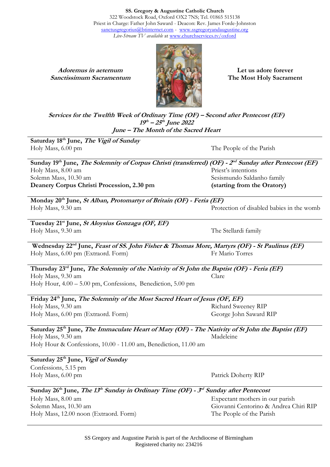**SS. Gregory & Augustine Catholic Church** 322 Woodstock Road, Oxford OX2 7NS; Tel. 01865 515138 Priest in Charge: Father John Saward - Deacon: Rev. James Forde-Johnston [sanctusgregorius@btinternet.com](mailto:sanctusgregorius@btinternet.com) - [www.ssgregoryandaugustine.org](http://www.ssgregoryandaugustine.org/) *Live-Stream TV available* at [www.churchservices.tv/oxford](http://www.churchservices.tv/oxford)

**Adoremus in aeternum Sanctissimum Sacramentum**



**Let us adore forever The Most Holy Sacrament**

**Services for the Twelfth Week of Ordinary Time (OF) – Second after Pentecost (EF) 19 th – 25 th June 2022 June – The Month of the Sacred Heart**

**Saturday 18 th June, The Vigil of Sunday** Holy Mass, 6.00 pm The People of the Parish

Sunday 19<sup>th</sup> June, *The Solemnity of Corpus Christi (transferred) (OF) - 2<sup>nd</sup> Sunday after Pentecost (EF)* Holy Mass, 8.00 am Solemn Mass, 10.30 am **Deanery Corpus Christi Procession, 2.30 pm** Priest's intentions Sesismundo Saldanho family **(starting from the Oratory)**

**Monday 20th June, St Alban, Protomartyr of Britain (OF) - Feria (EF)** Holy Mass, 9.30 am Protection of disabled babies in the womb

**Tuesday 21st June, St Aloysius Gonzaga (OF, EF)** Holy Mass, 9.30 am The Stellardi family

**Wednesday 22nd June, Feast of SS. John Fisher & Thomas More, Martyrs (OF) - St Paulinus (EF)** Holy Mass, 6.00 pm (Extraord. Form) Fr Mario Torres

**Thursday 23rd June, The Solemnity of the Nativity of St John the Baptist (OF) - Feria (EF)** Holy Mass, 9.30 am Clare

Holy Hour, 4.00 – 5.00 pm, Confessions, Benediction, 5.00 pm

**Friday 24th June, The Solemnity of the Most Sacred Heart of Jesus (OF, EF)** Holy Mass, 9.30 am Holy Mass, 6.00 pm (Extraord. Form) Richard Sweeney RIP George John Saward RIP

**Saturday 25th June, The Immaculate Heart of Mary (OF) - The Nativity of St John the Baptist (EF)** Holy Mass, 9.30 am Holy Hour & Confessions, 10.00 - 11.00 am, Benediction, 11.00 am Madeleine

**Saturday 25th June, Vigil of Sunday**  Confessions, 5.15 pm Holy Mass, 6.00 pm Patrick Doherty RIP

**Sunday 26th June, The 13 th Sunday in Ordinary Time (OF) - <sup>3</sup> rd Sunday after Pentecost**

Holy Mass, 8.00 am Solemn Mass, 10.30 am Holy Mass, 12.00 noon (Extraord. Form) Expectant mothers in our parish Giovanni Centorino & Andrea Chiri RIP The People of the Parish